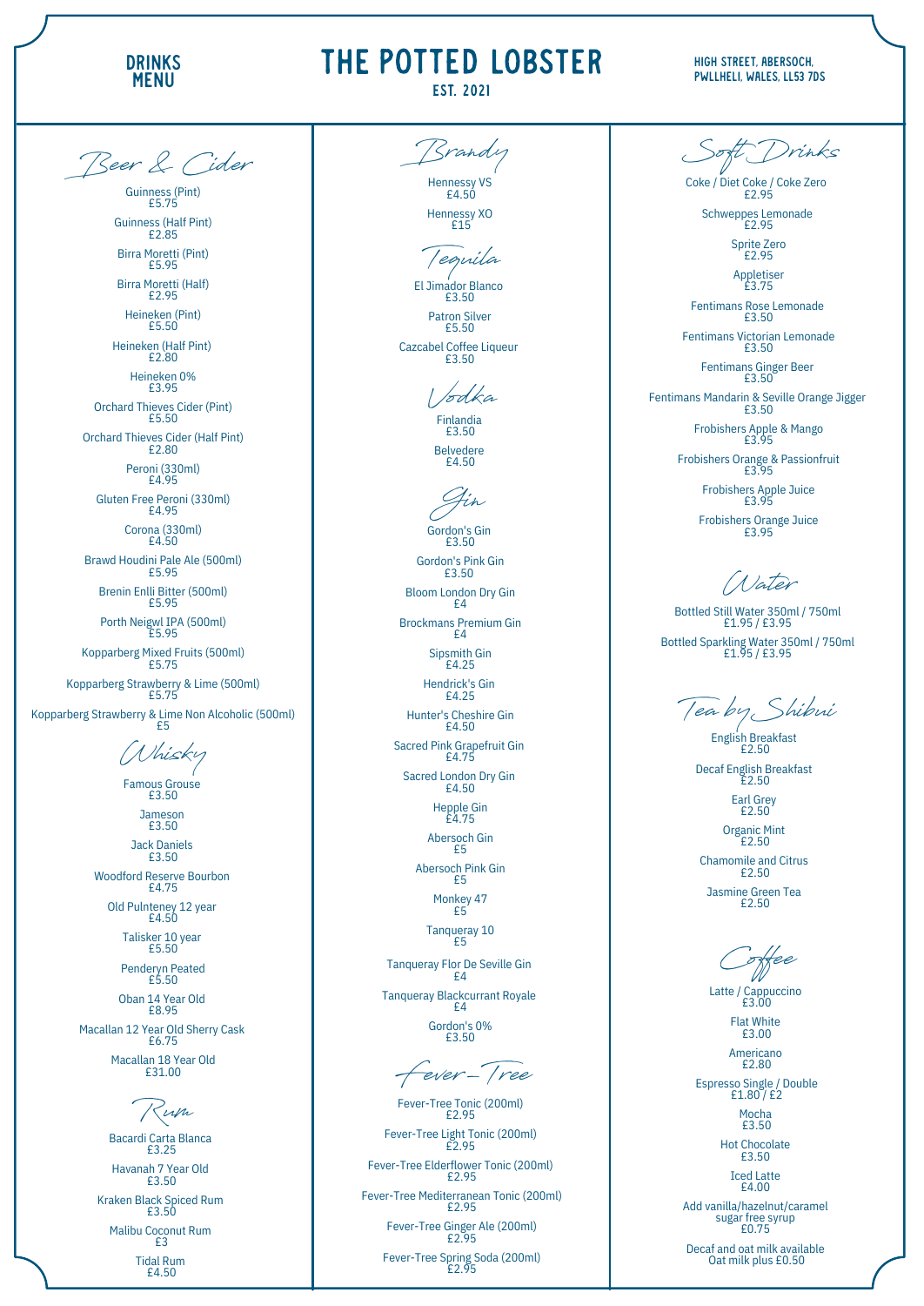#### HIGH STREET, ABERSOCH, Pwllheli, Wales, LL53 7 D S

Famous Grouse £ 3.5 0

> Jameson £ 3.5 0

Woodford Reserve Bourbon £ 4.7 5

Old Pulnteney 12 year £ 4.5 0

J a c k D a niels £ 3.5 0

Talisker 10 year £ 5.5 0

Penderyn Peated £ 5.5 0

**Guinness (Pint)** Guinness (Pint)<br>
£5.75<br>
Guinness (Half Pint)<br>
£2.85<br>
Birra Moretti (Pint)<br>
£5.95<br>
Birra Moretti (Half)<br>
£2.95<br>
Heineken (Pint)<br>
£5.50<br>
Heineken 0%<br>
£3.95<br>
Neineken 0%<br>
£3.95<br>
nard Thieves Cider (Half Pint)<br>
£3.95<br>
nard Thi £5.75 **Guinness (Half Pint)** £ 2.8 5 Birra Moretti (Pint) £ 5.9 5

Birra Moretti (Half) £ 2.9 5

Heineken (Pint) £ 5.5 0

Heineken (Half Pint) £ 2.8 0

Orchard Thieves Cider (Pint) £ 5.5 0

Orchard Thieves Cider (Half Pint) £ 2.8 0

> Peroni (330ml) £ 4.9 5

Gluten Free Peroni (330ml) £ 4.9 5

> Corona (330ml) £ 4.5 0

Brawd Houdini Pale Ale (500ml) £ 5.9 5

Brenin Enlli Bitter (500ml) £ 5.9 5

Porth Neigwl IPA (500ml) £ 5.9 5

Kopparberg Mixed Fruits (500ml) £ 5.7 5

Kopparberg Strawberry & Lime (500ml) £ 5.7 5

Kopparberg Strawberry & Lime Non Alcoholic (500ml) £ 5

Húsky

Gordon's Gin £ 3.5 0

H ein e k e n 0 % £ 3.9 5

> Bloom London Dry Gin £ 4

Brockmans Premium Gin £ 4

Hunter's Cheshire Gin £ 4.5 0

Sacred London Dry Gin £ 4.5 0

> Tanqueray 10 £ 5

Tanqueray Blackcurrant Royale £ 4

El Jimador Blanco £ 3.5 0

Patron Silver £ 5.5 0

Cazcabel Coffee Liqueur £ 3.5 0

Coke / Diet Coke / Coke Zero £ 2.9 5

Schweppes Lemonade £ 2.9 5

> Sprite Zero £ 2.9 5

Fentimans Rose Lemonade £ 3.5 0

Fentimans Victorian Lemonade £ 3.5 0

> Fentimans Ginger Beer £ 3.5 0

Fentimans Mandarin & Seville Orange Jigger £ 3.5 0

> Frobishers Apple & Mango £ 3.9 5

Frobishers Orange & Passionfruit £ 3.9 5

**Beer & Cider**

G o r d o n's Pin k Gin £ 3.5 0

Fever-Tree Tonic (200ml) £ 2.9 5

Fever-Tree Light Tonic (200ml) £ 2.9 5

Fever-Tree Elderflower Tonic (200ml) £ 2.9 5

Sip s mit h Gin £ 4.2 5

Fever-Tree Mediterranean Tonic (200ml) £ 2.9 5

H e n d ric k's Gin £ 4.2 5

Fever-Tree Ginger Ale (200ml) £ 2.9 5

Fever-Tree Spring Soda (200ml) £ 2.9 5

Latte / Cappuccino £ 3.0 0 Flat White £3.00 Americano £ 2.8 0 Espresso Single / Double £1.80 / £2 Mocha £ 3.5 0 Hot Chocolate £ 3.5 0 Iced Latte £4.00 Add vanilla/hazelnut/caramel<br>sugar free syrup<br>£0.75

Decaf and oat milk available Oat milk plus £0.50

S a c r e d Pin k G r a p e f r uit Gin £ 4.7 5

Bacardi Carta Blanca £ 3.2 5 H a v a n a h 7 Y e a r Old £ 3.5 0 Kraken Black Spiced Rum £ 3.5 0 Malibu Coconut Rum £ 3 Tid al R u m £ 4.5 0

H e p ple Gin £ 4.7 5

A b e r s o c h Gin £ 5

A b e r s o c h Pin k Gin £ 5

> Monkey 47  $E5$

T a n q u e r a y Flo r D e S e ville Gin £ 4

> G o r d o n's 0 % £ 3.5 0

Hennessy VS £ 4.5 0 **Brandy**

> Hennessy XO £15

**Gin** Finlandia £3.50 Belvedere £4.50 **Vodka**

Chamomile and Citrus £ 2.5 0

Jasmine Green Tea £ 2.5 0

**Tequila**

A p ple tis e r £ 3.7 5

F r o bis h e r s A p ple J uic e £ 3.9 5

F r o bis h e r s O r a n g e J uic e £ 3.9 5

Bottled Still Water 350ml / 750ml<br>£1.95 / £3.95 Bottled Sparkling Water 350ml / 750n *Mater*<br>ill Water 350ml / 750ml<br>£1.95 / £3.95<br>kling Water 350ml / 750ml<br>£1.95 / £3.95

**S oft Drinks**

**Fever - Tree**

**Rum**

**Cof ee**

Oban 14 Year Old £ 8.9 5 Macallan 12 Year Old Sherry Cask £ 6.7 5 Macallan 18 Year Old £31.00

E n glis h B r e a k f a s t £ 2.5 0

Decaf English Breakfast  $E2.50$ 

> Earl Grey  $E2.50$

O r g a nic Min t £ 2.5 0

**Tea by S hibui**



## THE POTTED LOBSTER

### **EST. 2021**